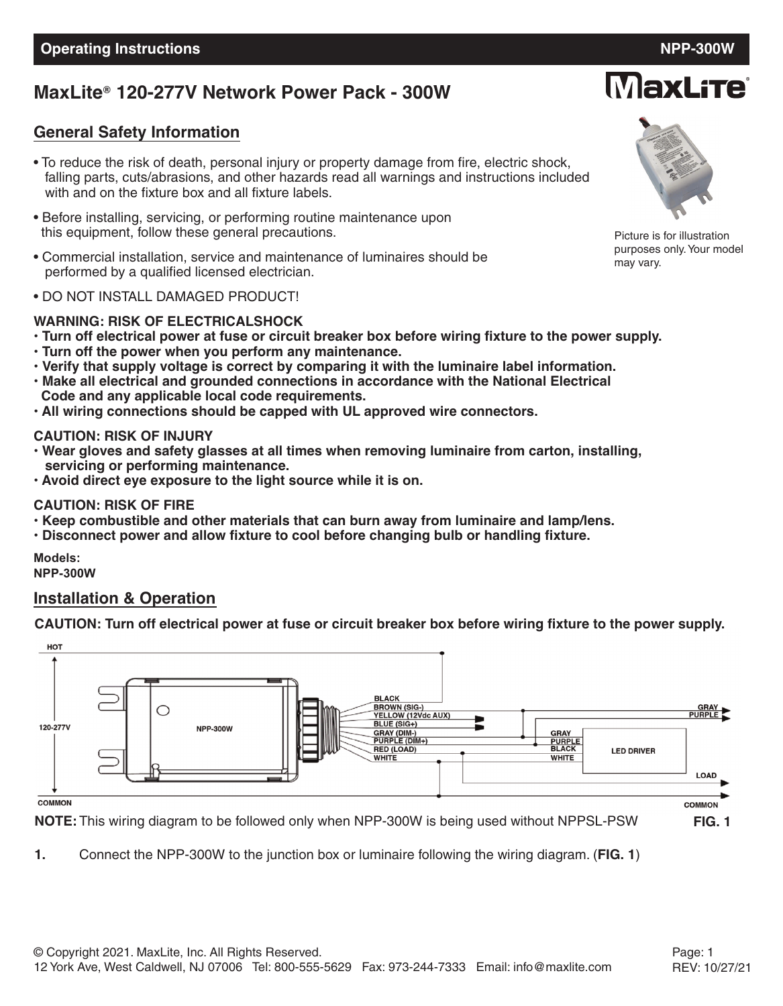# **MaxLite 120-277V Network Power Pack - 300W ®**

### **General Safety Information**

- To reduce the risk of death, personal injury or property damage from fire, electric shock, falling parts, cuts/abrasions, and other hazards read all warnings and instructions included with and on the fixture box and all fixture labels.
- Before installing, servicing, or performing routine maintenance upon this equipment, follow these general precautions.
- Commercial installation, service and maintenance of luminaires should be performed by a qualified licensed electrician.
- DO NOT INSTALL DAMAGED PRODUCT!

#### **WARNING: RISK OF ELECTRICALSHOCK**

- . Turn off electrical power at fuse or circuit breaker box before wiring fixture to the power supply.
- **• Turn off the power when you perform any maintenance.**
- **• Verify that supply voltage is correct by comparing it with the luminaire label information.**
- **• Make all electrical and grounded connections in accordance with the National Electrical Code and any applicable local code requirements.**
- **• All wiring connections should be capped with UL approved wire connectors.**

#### **CAUTION: RISK OF INJURY**

- **• Wear gloves and safety glasses at all times when removing luminaire from carton, installing, servicing or performing maintenance.**
- **• Avoid direct eye exposure to the light source while it is on.**

#### **CAUTION: RISK OF FIRE**

- **• Keep combustible and other materials that can burn away from luminaire and lamp/lens.**
- **• Disconnect power and allow fixture to cool before changing bulb or handling fixture.**

**Models: NPP-300W**

#### **Installation & Operation**

CAUTION: Turn off electrical power at fuse or circuit breaker box before wiring fixture to the power supply.



**NOTE:** This wiring diagram to be followed only when NPP-300W is being used without NPPSL-PSW **FIG. 1**

**1.** Connect the NPP-300W to the junction box or luminaire following the wiring diagram. (**FIG. 1**)

Picture is for illustration purposes only.Your model

may vary.